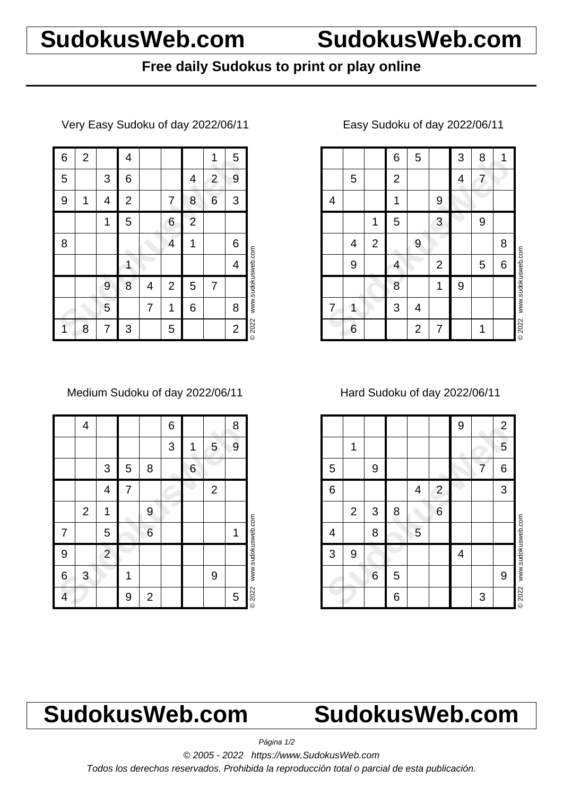## **SudokusWeb.com SudokusWeb.com**

### **Free daily Sudokus to print or play online**

Very Easy Sudoku of day 2022/06/11

| 6 | $\overline{2}$ |   | 4            |   |                |                |                | 5              |                    |
|---|----------------|---|--------------|---|----------------|----------------|----------------|----------------|--------------------|
| 5 |                | 3 | 6            |   |                | 4              | $\overline{2}$ | 9              |                    |
| 9 | 1              | 4 | $\mathbf{2}$ |   | 7              | 8              | 6              | 3              |                    |
|   |                | 1 | 5            |   | 6              | $\overline{2}$ |                |                |                    |
| 8 |                |   |              |   | 4              | 1              |                | 6              |                    |
|   |                |   | 1            |   |                |                |                | 4              |                    |
|   |                | 9 | 8            | 4 | $\overline{2}$ | 5              | 7              |                | www.sudokusweb.com |
|   |                | 5 |              | 7 | 1              | 6              |                | 8              |                    |
| 1 | 8              | 7 | 3            |   | 5              |                |                | $\overline{c}$ | © 2022             |

Medium Sudoku of day 2022/06/11

|   | 4              |                         |   |                | 6 |   |              | 8 |                    |
|---|----------------|-------------------------|---|----------------|---|---|--------------|---|--------------------|
|   |                |                         |   |                | 3 | 1 | 5            | 9 |                    |
|   |                | 3                       | 5 | 8              |   | 6 |              |   |                    |
|   |                | 4                       | 7 |                |   |   | $\mathbf{2}$ |   |                    |
|   | $\overline{2}$ | 1                       |   | 9              |   |   |              |   |                    |
| 7 |                | 5                       |   | 6              |   |   |              | 1 |                    |
| 9 |                | $\overline{\mathbf{c}}$ |   |                |   |   |              |   | www.sudokusweb.com |
| 6 | 3              |                         | 1 |                |   |   | 9            |   |                    |
| 4 |                |                         | 9 | $\overline{2}$ |   |   |              | 5 | <b>©2022</b>       |

### Easy Sudoku of day 2022/06/11

|   |   |                | 6              | 5              |                | 3 | 8 | 1 |                    |
|---|---|----------------|----------------|----------------|----------------|---|---|---|--------------------|
|   | 5 |                | $\overline{2}$ |                |                | 4 | 7 |   |                    |
| 4 |   |                | 1              |                | 9              |   |   |   |                    |
|   |   | 1              | 5              |                | 3              |   | 9 |   |                    |
|   | 4 | $\overline{2}$ |                | 9              |                |   |   | 8 |                    |
|   | 9 |                | 4              |                | $\overline{2}$ |   | 5 | 6 | www.sudokusweb.com |
|   |   |                | 8              |                | 1              | 9 |   |   |                    |
| 7 | 1 |                | 3              | 4              |                |   |   |   |                    |
|   | 6 |                |                | $\overline{2}$ | 7              |   | 1 |   | © 2022             |

Hard Sudoku of day 2022/06/11

|   |                |   |   |   |                | 9 |   | $\overline{c}$ |                    |
|---|----------------|---|---|---|----------------|---|---|----------------|--------------------|
|   | 1              |   |   |   |                |   |   | 5              |                    |
| 5 |                | 9 |   |   |                |   | 7 | 6              |                    |
| 6 |                |   |   | 4 | $\overline{2}$ |   |   | 3              |                    |
|   | $\overline{2}$ | 3 | 8 |   | 6              |   |   |                |                    |
| 4 |                | 8 |   | 5 |                |   |   |                | www.sudokusweb.com |
| 3 | 9              |   |   |   |                | 4 |   |                |                    |
|   |                | 6 | 5 |   |                |   |   | 9              |                    |
|   |                |   | 6 |   |                |   | 3 |                | <b>©2022</b>       |

# **SudokusWeb.com SudokusWeb.com**

Página 1/2

© 2005 - 2022 https://www.SudokusWeb.com

Todos los derechos reservados. Prohibida la reproducción total o parcial de esta publicación.